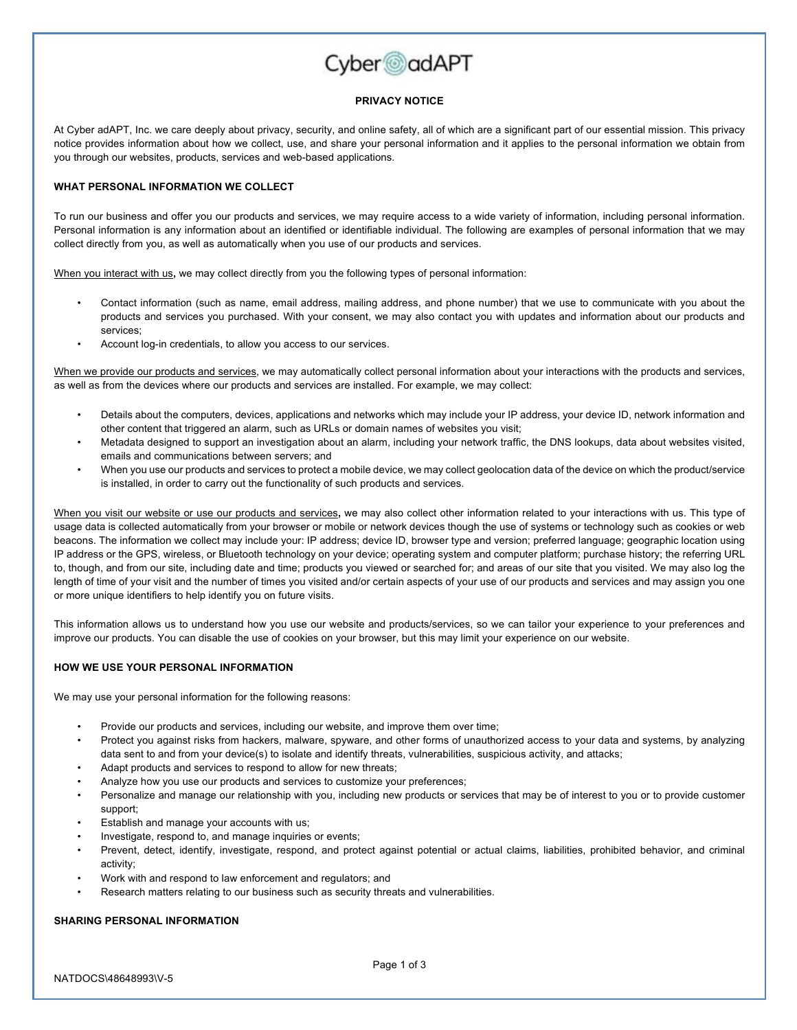

### **PRIVACY NOTICE**

At Cyber adAPT, Inc. we care deeply about privacy, security, and online safety, all of which are a significant part of our essential mission. This privacy notice provides information about how we collect, use, and share your personal information and it applies to the personal information we obtain from you through our websites, products, services and web-based applications.

# **WHAT PERSONAL INFORMATION WE COLLECT**

To run our business and offer you our products and services, we may require access to a wide variety of information, including personal information. Personal information is any information about an identified or identifiable individual. The following are examples of personal information that we may collect directly from you, as well as automatically when you use of our products and services.

When you interact with us**,** we may collect directly from you the following types of personal information:

- Contact information (such as name, email address, mailing address, and phone number) that we use to communicate with you about the products and services you purchased. With your consent, we may also contact you with updates and information about our products and services;
- Account log-in credentials, to allow you access to our services.

When we provide our products and services, we may automatically collect personal information about your interactions with the products and services, as well as from the devices where our products and services are installed. For example, we may collect:

- Details about the computers, devices, applications and networks which may include your IP address, your device ID, network information and other content that triggered an alarm, such as URLs or domain names of websites you visit;
- Metadata designed to support an investigation about an alarm, including your network traffic, the DNS lookups, data about websites visited, emails and communications between servers; and
- When you use our products and services to protect a mobile device, we may collect geolocation data of the device on which the product/service is installed, in order to carry out the functionality of such products and services.

When you visit our website or use our products and services**,** we may also collect other information related to your interactions with us. This type of usage data is collected automatically from your browser or mobile or network devices though the use of systems or technology such as cookies or web beacons. The information we collect may include your: IP address; device ID, browser type and version; preferred language; geographic location using IP address or the GPS, wireless, or Bluetooth technology on your device; operating system and computer platform; purchase history; the referring URL to, though, and from our site, including date and time; products you viewed or searched for; and areas of our site that you visited. We may also log the length of time of your visit and the number of times you visited and/or certain aspects of your use of our products and services and may assign you one or more unique identifiers to help identify you on future visits.

This information allows us to understand how you use our website and products/services, so we can tailor your experience to your preferences and improve our products. You can disable the use of cookies on your browser, but this may limit your experience on our website.

#### **HOW WE USE YOUR PERSONAL INFORMATION**

We may use your personal information for the following reasons:

- Provide our products and services, including our website, and improve them over time;
- Protect you against risks from hackers, malware, spyware, and other forms of unauthorized access to your data and systems, by analyzing data sent to and from your device(s) to isolate and identify threats, vulnerabilities, suspicious activity, and attacks;
- Adapt products and services to respond to allow for new threats;
- Analyze how you use our products and services to customize your preferences;
- Personalize and manage our relationship with you, including new products or services that may be of interest to you or to provide customer support;
- Establish and manage your accounts with us;
- Investigate, respond to, and manage inquiries or events;
- Prevent, detect, identify, investigate, respond, and protect against potential or actual claims, liabilities, prohibited behavior, and criminal activity;
- Work with and respond to law enforcement and regulators; and
- Research matters relating to our business such as security threats and vulnerabilities.

### **SHARING PERSONAL INFORMATION**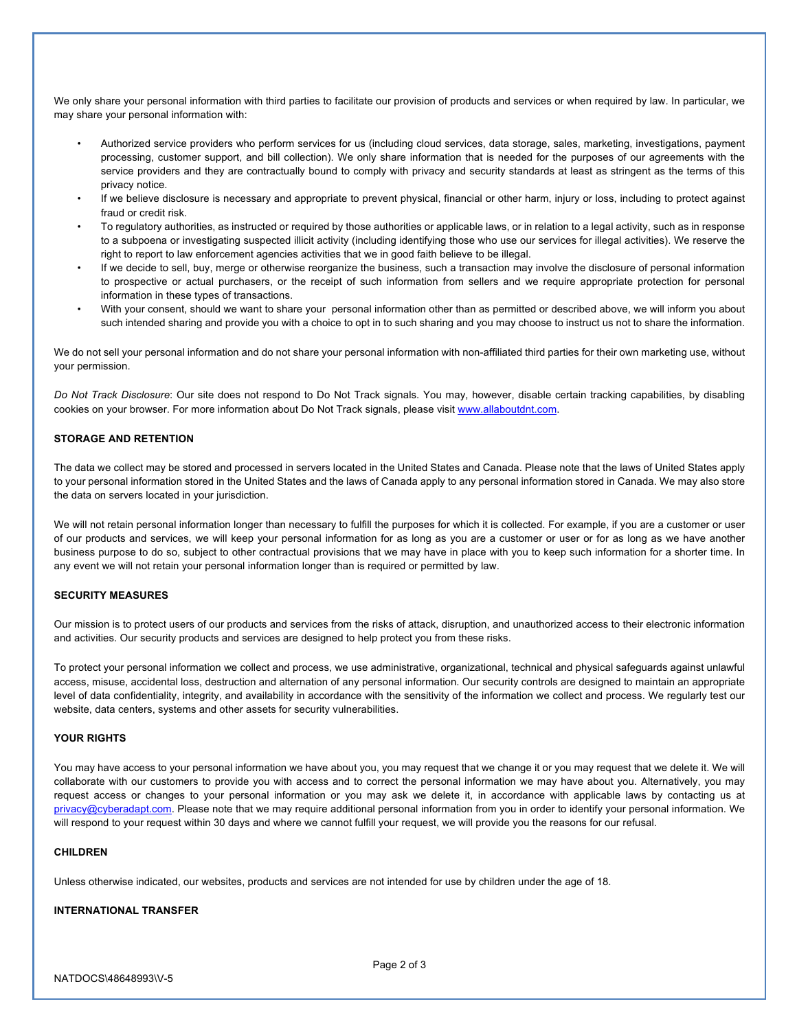We only share your personal information with third parties to facilitate our provision of products and services or when required by law. In particular, we may share your personal information with:

- Authorized service providers who perform services for us (including cloud services, data storage, sales, marketing, investigations, payment processing, customer support, and bill collection). We only share information that is needed for the purposes of our agreements with the service providers and they are contractually bound to comply with privacy and security standards at least as stringent as the terms of this privacy notice.
- If we believe disclosure is necessary and appropriate to prevent physical, financial or other harm, injury or loss, including to protect against fraud or credit risk.
- To regulatory authorities, as instructed or required by those authorities or applicable laws, or in relation to a legal activity, such as in response to a subpoena or investigating suspected illicit activity (including identifying those who use our services for illegal activities). We reserve the right to report to law enforcement agencies activities that we in good faith believe to be illegal.
- If we decide to sell, buy, merge or otherwise reorganize the business, such a transaction may involve the disclosure of personal information to prospective or actual purchasers, or the receipt of such information from sellers and we require appropriate protection for personal information in these types of transactions.
- With your consent, should we want to share your personal information other than as permitted or described above, we will inform you about such intended sharing and provide you with a choice to opt in to such sharing and you may choose to instruct us not to share the information.

We do not sell your personal information and do not share your personal information with non-affiliated third parties for their own marketing use, without your permission.

*Do Not Track Disclosure*: Our site does not respond to Do Not Track signals. You may, however, disable certain tracking capabilities, by disabling cookies on your browser. For more information about Do Not Track signals, please visit www.allaboutdnt.com.

## **STORAGE AND RETENTION**

The data we collect may be stored and processed in servers located in the United States and Canada. Please note that the laws of United States apply to your personal information stored in the United States and the laws of Canada apply to any personal information stored in Canada. We may also store the data on servers located in your jurisdiction.

We will not retain personal information longer than necessary to fulfill the purposes for which it is collected. For example, if you are a customer or user of our products and services, we will keep your personal information for as long as you are a customer or user or for as long as we have another business purpose to do so, subject to other contractual provisions that we may have in place with you to keep such information for a shorter time. In any event we will not retain your personal information longer than is required or permitted by law.

## **SECURITY MEASURES**

Our mission is to protect users of our products and services from the risks of attack, disruption, and unauthorized access to their electronic information and activities. Our security products and services are designed to help protect you from these risks.

To protect your personal information we collect and process, we use administrative, organizational, technical and physical safeguards against unlawful access, misuse, accidental loss, destruction and alternation of any personal information. Our security controls are designed to maintain an appropriate level of data confidentiality, integrity, and availability in accordance with the sensitivity of the information we collect and process. We regularly test our website, data centers, systems and other assets for security vulnerabilities.

#### **YOUR RIGHTS**

You may have access to your personal information we have about you, you may request that we change it or you may request that we delete it. We will collaborate with our customers to provide you with access and to correct the personal information we may have about you. Alternatively, you may request access or changes to your personal information or you may ask we delete it, in accordance with applicable laws by contacting us at privacy@cyberadapt.com. Please note that we may require additional personal information from you in order to identify your personal information. We will respond to your request within 30 days and where we cannot fulfill your request, we will provide you the reasons for our refusal.

# **CHILDREN**

Unless otherwise indicated, our websites, products and services are not intended for use by children under the age of 18.

#### **INTERNATIONAL TRANSFER**